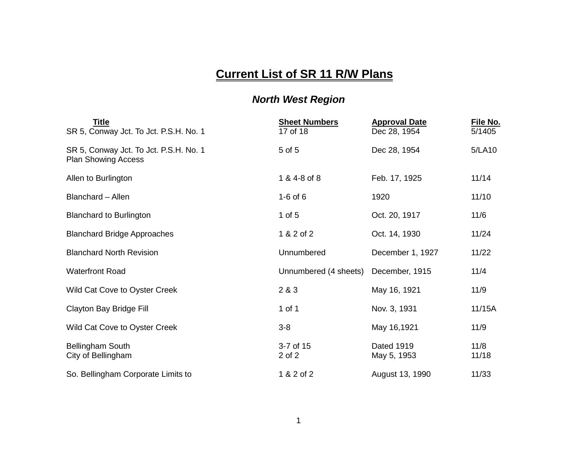## **Current List of SR 11 R/W Plans**

## *North West Region*

| <u>Title</u><br>SR 5, Conway Jct. To Jct. P.S.H. No. 1               | <b>Sheet Numbers</b><br>17 of 18 | <b>Approval Date</b><br>Dec 28, 1954 | File No.<br>5/1405 |
|----------------------------------------------------------------------|----------------------------------|--------------------------------------|--------------------|
| SR 5, Conway Jct. To Jct. P.S.H. No. 1<br><b>Plan Showing Access</b> | 5 of 5                           | Dec 28, 1954                         | 5/LA10             |
| Allen to Burlington                                                  | 1 & 4-8 of 8                     | Feb. 17, 1925                        | 11/14              |
| Blanchard - Allen                                                    | $1-6$ of $6$                     | 1920                                 | 11/10              |
| <b>Blanchard to Burlington</b>                                       | 1 of $5$                         | Oct. 20, 1917                        | 11/6               |
| <b>Blanchard Bridge Approaches</b>                                   | 1 & 2 of 2                       | Oct. 14, 1930                        | 11/24              |
| <b>Blanchard North Revision</b>                                      | Unnumbered                       | December 1, 1927                     | 11/22              |
| <b>Waterfront Road</b>                                               | Unnumbered (4 sheets)            | December, 1915                       | 11/4               |
| Wild Cat Cove to Oyster Creek                                        | 2 & 3                            | May 16, 1921                         | 11/9               |
| Clayton Bay Bridge Fill                                              | 1 of 1                           | Nov. 3, 1931                         | 11/15A             |
| Wild Cat Cove to Oyster Creek                                        | $3-8$                            | May 16,1921                          | 11/9               |
| Bellingham South<br>City of Bellingham                               | 3-7 of 15<br>2 of 2              | Dated 1919<br>May 5, 1953            | 11/8<br>11/18      |
| So. Bellingham Corporate Limits to                                   | 1 & 2 of 2                       | August 13, 1990                      | 11/33              |